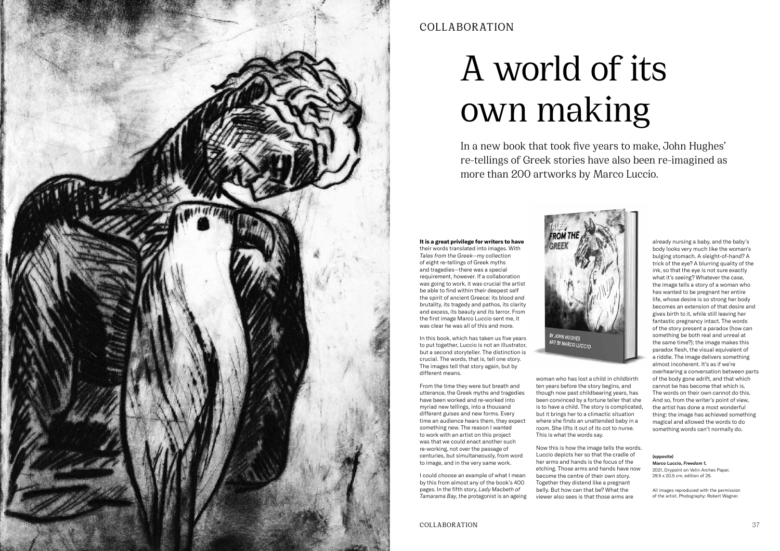**It is a great privilege for writers to have**  their words translated into images. With

*Tales from the Greek—*my collection of eight re-tellings of Greek myths and tragedies—there was a special requirement, however. If a collaboration was going to work, it was crucial the artist be able to find within their deepest self the spirit of ancient Greece: its blood and brutality, its tragedy and pathos, its clarity and excess, its beauty and its terror. From the first image Marco Luccio sent me, it was clear he was all of this and more.

In this book, which has taken us five years to put together, Luccio is not an illustrator, but a second storyteller. The distinction is crucial. The words, that is, tell one story. The images tell that story again, but by different means.

From the time they were but breath and utterance, the Greek myths and tragedies have been worked and re-worked into myriad new tellings, into a thousand different guises and new forms. Every time an audience hears them, they expect something new. The reason I wanted to work with an artist on this project was that we could enact another such re-working, not over the passage of centuries, but simultaneously, from word to image, and in the very same work.

I could choose an example of what I mean by this from almost any of the book's 400 pages. In the fifth story, *Lady Macbeth of Tamarama Bay*, the protagonist is an ageing



woman who has lost a child in childbirth ten years before the story begins, and though now past childbearing years, has been convinced by a fortune teller that she is to have a child. The story is complicated, but it brings her to a climactic situation where she finds an unattended baby in a room. She lifts it out of its cot to nurse. This is what the words say.

Now this is how the image tells the words. Luccio depicts her so that the cradle of her arms and hands is the focus of the etching. Those arms and hands have now become the centre of their own story. Together they distend like a pregnant belly. But how can that be? What the viewer also sees is that those arms are

already nursing a baby, and the baby's body looks very much like the woman's bulging stomach. A sleight-of-hand? A trick of the eye? A blurring quality of the ink, so that the eye is not sure exactly what it's seeing? Whatever the case, the image tells a story of a woman who has wanted to be pregnant her entire life, whose desire is so strong her body becomes an extension of that desire and gives birth to it, while still leaving her fantastic pregnancy intact. The words of the story present a paradox (how can something be both real and unreal at the same time?); the image makes this paradox flesh, the visual equivalent of a riddle. The image delivers something almost incoherent. It's as if we're overhearing a conversation between parts of the body gone adrift, and that which cannot be has become that which is. The words on their own cannot do this. And so, from the writer's point of view, the artist has done a most wonderful thing: the image has achieved something magical and allowed the words to do something words can't normally do.

# COLLABORATION

In a new book that took five years to make, John Hughes' re-tellings of Greek stories have also been re-imagined as more than 200 artworks by Marco Luccio.

# A world of its own making

### (opposite)

Marco Luccio, *Freedom 1,*  2021, Drypoint on Velin Arches Paper, 29.5 x 20.5 cm, edition of 25.

All images reproduced with the permission of the artist. Photography: Robert Wagner.